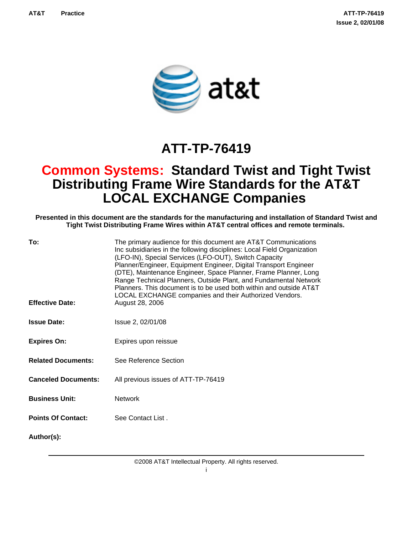

# **ATT-TP-76419**

# **Common Systems: Standard Twist and Tight Twist Distributing Frame Wire Standards for the AT&T LOCAL EXCHANGE Companies**

**Presented in this document are the standards for the manufacturing and installation of Standard Twist and Tight Twist Distributing Frame Wires within AT&T central offices and remote terminals.**

| To:                        | The primary audience for this document are AT&T Communications<br>Inc subsidiaries in the following disciplines: Local Field Organization<br>(LFO-IN), Special Services (LFO-OUT), Switch Capacity<br>Planner/Engineer, Equipment Engineer, Digital Transport Engineer<br>(DTE), Maintenance Engineer, Space Planner, Frame Planner, Long<br>Range Technical Planners, Outside Plant, and Fundamental Network<br>Planners. This document is to be used both within and outside AT&T<br>LOCAL EXCHANGE companies and their Authorized Vendors. |
|----------------------------|-----------------------------------------------------------------------------------------------------------------------------------------------------------------------------------------------------------------------------------------------------------------------------------------------------------------------------------------------------------------------------------------------------------------------------------------------------------------------------------------------------------------------------------------------|
| <b>Effective Date:</b>     | August 28, 2006                                                                                                                                                                                                                                                                                                                                                                                                                                                                                                                               |
| <b>Issue Date:</b>         | Issue 2, 02/01/08                                                                                                                                                                                                                                                                                                                                                                                                                                                                                                                             |
| <b>Expires On:</b>         | Expires upon reissue                                                                                                                                                                                                                                                                                                                                                                                                                                                                                                                          |
| <b>Related Documents:</b>  | See Reference Section                                                                                                                                                                                                                                                                                                                                                                                                                                                                                                                         |
| <b>Canceled Documents:</b> | All previous issues of ATT-TP-76419                                                                                                                                                                                                                                                                                                                                                                                                                                                                                                           |
| <b>Business Unit:</b>      | <b>Network</b>                                                                                                                                                                                                                                                                                                                                                                                                                                                                                                                                |
| <b>Points Of Contact:</b>  | See Contact List.                                                                                                                                                                                                                                                                                                                                                                                                                                                                                                                             |
| Author(s):                 |                                                                                                                                                                                                                                                                                                                                                                                                                                                                                                                                               |
|                            |                                                                                                                                                                                                                                                                                                                                                                                                                                                                                                                                               |

©2008 AT&T Intellectual Property. All rights reserved.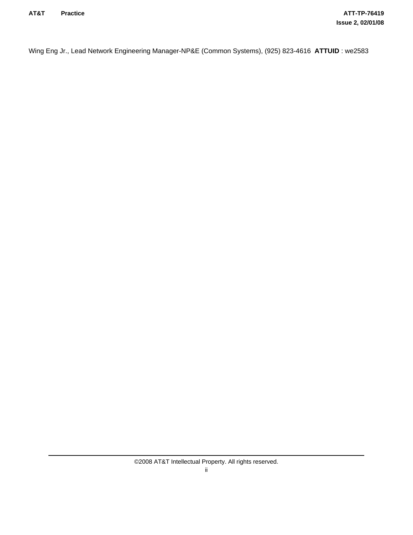#### **AT&T Practice ATT-TP-76419**

Wing Eng Jr., Lead Network Engineering Manager-NP&E (Common Systems), (925) 823-4616 **ATTUID** : we2583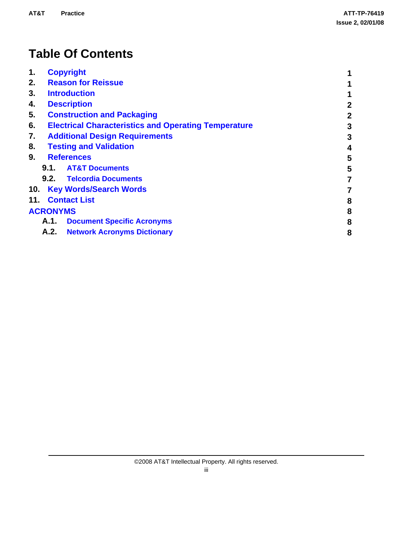# **Table Of Contents**

| 1.  | <b>Copyright</b>                                            | 1           |  |
|-----|-------------------------------------------------------------|-------------|--|
| 2.  | <b>Reason for Reissue</b>                                   | 1           |  |
| 3.  | <b>Introduction</b>                                         |             |  |
| 4.  | <b>Description</b>                                          | $\mathbf 2$ |  |
| 5.  | <b>Construction and Packaging</b>                           |             |  |
| 6.  | <b>Electrical Characteristics and Operating Temperature</b> |             |  |
| 7.  | <b>Additional Design Requirements</b><br>3                  |             |  |
| 8.  | <b>Testing and Validation</b>                               | 4           |  |
| 9.  | <b>References</b>                                           | 5           |  |
|     | <b>AT&amp;T Documents</b><br>9.1.                           | 5           |  |
|     | 9.2. Telcordia Documents                                    | 7           |  |
| 10. | <b>Key Words/Search Words</b>                               | 7           |  |
|     | <b>Contact List</b><br>11.                                  |             |  |
|     | <b>ACRONYMS</b>                                             | 8           |  |
|     | <b>Document Specific Acronyms</b><br>A.1.                   | 8           |  |
|     | A.2.<br><b>Network Acronyms Dictionary</b>                  | 8           |  |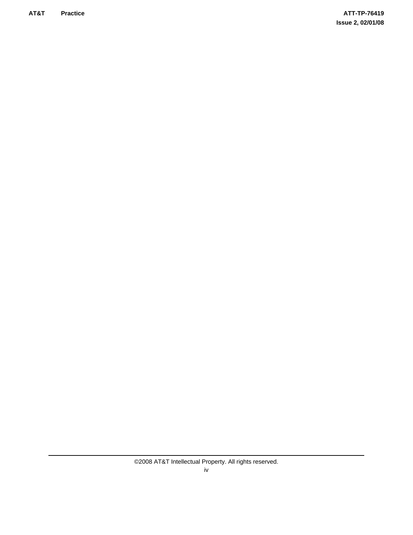**AT&T Practice ATT-TP-76419**

**Issue 2, 02/01/08**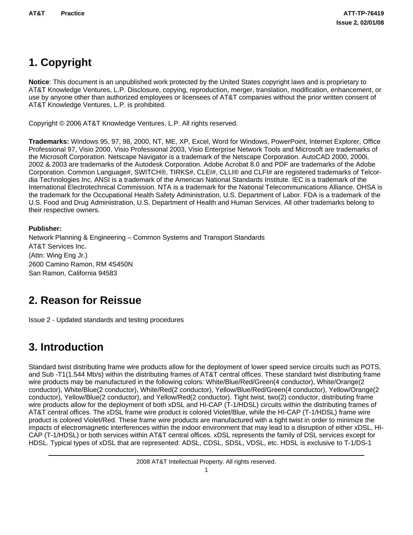# <span id="page-4-0"></span>**1. Copyright**

**Notice**: This document is an unpublished work protected by the United States copyright laws and is proprietary to AT&T Knowledge Ventures, L.P. Disclosure, copying, reproduction, merger, translation, modification, enhancement, or use by anyone other than authorized employees or licensees of AT&T companies without the prior written consent of AT&T Knowledge Ventures, L.P. is prohibited.

Copyright © 2006 AT&T Knowledge Ventures, L.P. All rights reserved.

**Trademarks:** Windows 95, 97, 98, 2000, NT, ME, XP, Excel, Word for Windows, PowerPoint, Internet Explorer, Office Professional 97, Visio 2000, Visio Professional 2003, Visio Enterprise Network Tools and Microsoft are trademarks of the Microsoft Corporation. Netscape Navigator is a trademark of the Netscape Corporation. AutoCAD 2000, 2000i, 2002 & 2003 are trademarks of the Autodesk Corporation. Adobe Acrobat 8.0 and PDF are trademarks of the Adobe Corporation. Common Language#, SWITCH®, TIRKS#, CLEI#, CLLI® and CLFI# are registered trademarks of Telcordia Technologies Inc. ANSI is a trademark of the American National Standards Institute. IEC is a trademark of the International Electrotechnical Commission. NTA is a trademark for the National Telecommunications Alliance. OHSA is the trademark for the Occupational Health Safety Administration, U.S. Department of Labor. FDA is a trademark of the U.S. Food and Drug Administration, U.S. Department of Health and Human Services. All other trademarks belong to their respective owners.

#### **Publisher:**

Network Planning & Engineering – Common Systems and Transport Standards AT&T Services Inc. (Attn: Wing Eng Jr.) 2600 Camino Ramon, RM 4S450N San Ramon, California 94583

### <span id="page-4-1"></span>**2. Reason for Reissue**

Issue 2 - Updated standards and testing procedures

### <span id="page-4-2"></span>**3. Introduction**

Standard twist distributing frame wire products allow for the deployment of lower speed service circuits such as POTS, and Sub -T1(1.544 Mb/s) within the distributing frames of AT&T central offices. These standard twist distributing frame wire products may be manufactured in the following colors: White/Blue/Red/Green(4 conductor), White/Orange(2 conductor), White/Blue(2 conductor), White/Red(2 conductor), Yellow/Blue/Red/Green(4 conductor), Yellow/Orange(2 conductor), Yellow/Blue(2 conductor), and Yellow/Red(2 conductor). Tight twist, two(2) conductor, distributing frame wire products allow for the deployment of both xDSL and HI-CAP (T-1/HDSL) circuits within the distributing frames of AT&T central offices. The xDSL frame wire product is colored Violet/Blue, while the HI-CAP (T-1/HDSL) frame wire product is colored Violet/Red. These frame wire products are manufactured with a tight twist in order to minimize the impacts of electromagnetic interferences within the indoor environment that may lead to a disruption of either xDSL, HI-CAP (T-1/HDSL) or both services within AT&T central offices. xDSL represents the family of DSL services except for HDSL. Typical types of xDSL that are represented: ADSL, CDSL, SDSL, VDSL, etc. HDSL is exclusive to T-1/DS-1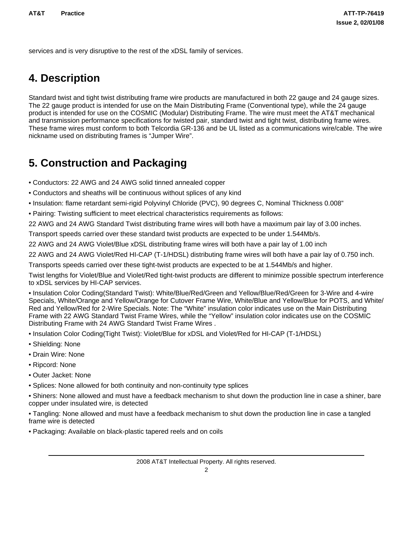services and is very disruptive to the rest of the xDSL family of services.

# <span id="page-5-0"></span>**4. Description**

Standard twist and tight twist distributing frame wire products are manufactured in both 22 gauge and 24 gauge sizes. The 22 gauge product is intended for use on the Main Distributing Frame (Conventional type), while the 24 gauge product is intended for use on the COSMIC (Modular) Distributing Frame. The wire must meet the AT&T mechanical and transmission performance specifications for twisted pair, standard twist and tight twist, distributing frame wires. These frame wires must conform to both Telcordia GR-136 and be UL listed as a communications wire/cable. The wire nickname used on distributing frames is "Jumper Wire".

### <span id="page-5-1"></span>**5. Construction and Packaging**

- Conductors: 22 AWG and 24 AWG solid tinned annealed copper
- Conductors and sheaths will be continuous without splices of any kind
- Insulation: flame retardant semi-rigid Polyvinyl Chloride (PVC), 90 degrees C, Nominal Thickness 0.008"
- Pairing: Twisting sufficient to meet electrical characteristics requirements as follows:
- 22 AWG and 24 AWG Standard Twist distributing frame wires will both have a maximum pair lay of 3.00 inches.

Transport speeds carried over these standard twist products are expected to be under 1.544Mb/s.

22 AWG and 24 AWG Violet/Blue xDSL distributing frame wires will both have a pair lay of 1.00 inch

22 AWG and 24 AWG Violet/Red HI-CAP (T-1/HDSL) distributing frame wires will both have a pair lay of 0.750 inch.

Transports speeds carried over these tight-twist products are expected to be at 1.544Mb/s and higher.

Twist lengths for Violet/Blue and Violet/Red tight-twist products are different to minimize possible spectrum interference to xDSL services by HI-CAP services.

• Insulation Color Coding(Standard Twist): White/Blue/Red/Green and Yellow/Blue/Red/Green for 3-Wire and 4-wire Specials, White/Orange and Yellow/Orange for Cutover Frame Wire, White/Blue and Yellow/Blue for POTS, and White/ Red and Yellow/Red for 2-Wire Specials. Note: The "White" insulation color indicates use on the Main Distributing Frame with 22 AWG Standard Twist Frame Wires, while the "Yellow" insulation color indicates use on the COSMIC Distributing Frame with 24 AWG Standard Twist Frame Wires .

- Insulation Color Coding(Tight Twist): Violet/Blue for xDSL and Violet/Red for HI-CAP (T-1/HDSL)
- Shielding: None
- Drain Wire: None
- Ripcord: None
- Outer Jacket: None
- Splices: None allowed for both continuity and non-continuity type splices

• Shiners: None allowed and must have a feedback mechanism to shut down the production line in case a shiner, bare copper under insulated wire, is detected

• Tangling: None allowed and must have a feedback mechanism to shut down the production line in case a tangled frame wire is detected

• Packaging: Available on black-plastic tapered reels and on coils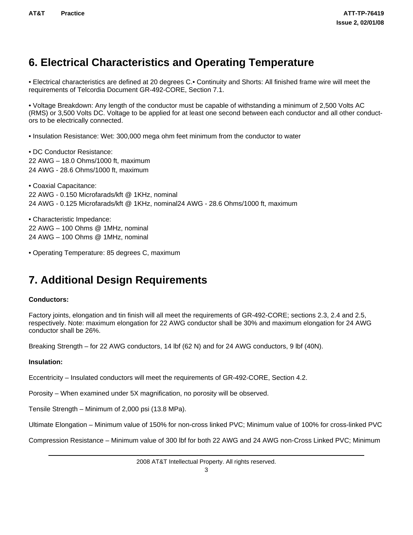### <span id="page-6-0"></span>**6. Electrical Characteristics and Operating Temperature**

• Electrical characteristics are defined at 20 degrees C.• Continuity and Shorts: All finished frame wire will meet the requirements of Telcordia Document GR-492-CORE, Section 7.1.

• Voltage Breakdown: Any length of the conductor must be capable of withstanding a minimum of 2,500 Volts AC (RMS) or 3,500 Volts DC. Voltage to be applied for at least one second between each conductor and all other conductors to be electrically connected.

• Insulation Resistance: Wet: 300,000 mega ohm feet minimum from the conductor to water

• DC Conductor Resistance: 22 AWG – 18.0 Ohms/1000 ft, maximum 24 AWG - 28.6 Ohms/1000 ft, maximum

• Coaxial Capacitance: 22 AWG - 0.150 Microfarads/kft @ 1KHz, nominal 24 AWG - 0.125 Microfarads/kft @ 1KHz, nominal24 AWG - 28.6 Ohms/1000 ft, maximum

• Characteristic Impedance: 22 AWG – 100 Ohms @ 1MHz, nominal 24 AWG – 100 Ohms @ 1MHz, nominal

• Operating Temperature: 85 degrees C, maximum

# <span id="page-6-1"></span>**7. Additional Design Requirements**

#### **Conductors:**

Factory joints, elongation and tin finish will all meet the requirements of GR-492-CORE; sections 2.3, 2.4 and 2.5, respectively. Note: maximum elongation for 22 AWG conductor shall be 30% and maximum elongation for 24 AWG conductor shall be 26%.

Breaking Strength – for 22 AWG conductors, 14 lbf (62 N) and for 24 AWG conductors, 9 lbf (40N).

#### **Insulation:**

Eccentricity – Insulated conductors will meet the requirements of GR-492-CORE, Section 4.2.

Porosity – When examined under 5X magnification, no porosity will be observed.

Tensile Strength – Minimum of 2,000 psi (13.8 MPa).

Ultimate Elongation – Minimum value of 150% for non-cross linked PVC; Minimum value of 100% for cross-linked PVC

Compression Resistance – Minimum value of 300 lbf for both 22 AWG and 24 AWG non-Cross Linked PVC; Minimum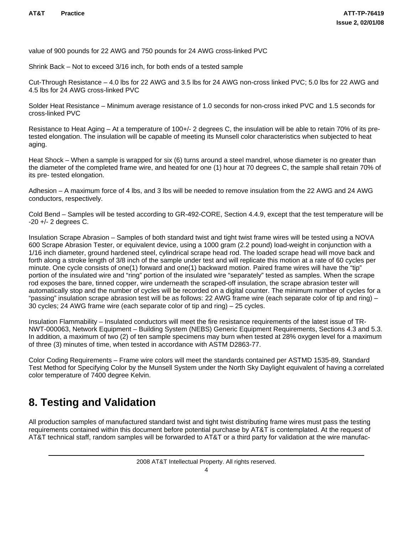value of 900 pounds for 22 AWG and 750 pounds for 24 AWG cross-linked PVC

Shrink Back – Not to exceed 3/16 inch, for both ends of a tested sample

Cut-Through Resistance – 4.0 lbs for 22 AWG and 3.5 lbs for 24 AWG non-cross linked PVC; 5.0 lbs for 22 AWG and 4.5 lbs for 24 AWG cross-linked PVC

Solder Heat Resistance – Minimum average resistance of 1.0 seconds for non-cross inked PVC and 1.5 seconds for cross-linked PVC

Resistance to Heat Aging – At a temperature of 100+/- 2 degrees C, the insulation will be able to retain 70% of its pretested elongation. The insulation will be capable of meeting its Munsell color characteristics when subjected to heat aging.

Heat Shock – When a sample is wrapped for six (6) turns around a steel mandrel, whose diameter is no greater than the diameter of the completed frame wire, and heated for one (1) hour at 70 degrees C, the sample shall retain 70% of its pre- tested elongation.

Adhesion – A maximum force of 4 lbs, and 3 lbs will be needed to remove insulation from the 22 AWG and 24 AWG conductors, respectively.

Cold Bend – Samples will be tested according to GR-492-CORE, Section 4.4.9, except that the test temperature will be -20 +/- 2 degrees C.

Insulation Scrape Abrasion – Samples of both standard twist and tight twist frame wires will be tested using a NOVA 600 Scrape Abrasion Tester, or equivalent device, using a 1000 gram (2.2 pound) load-weight in conjunction with a 1/16 inch diameter, ground hardened steel, cylindrical scrape head rod. The loaded scrape head will move back and forth along a stroke length of 3/8 inch of the sample under test and will replicate this motion at a rate of 60 cycles per minute. One cycle consists of one(1) forward and one(1) backward motion. Paired frame wires will have the "tip" portion of the insulated wire and "ring" portion of the insulated wire "separately" tested as samples. When the scrape rod exposes the bare, tinned copper, wire underneath the scraped-off insulation, the scrape abrasion tester will automatically stop and the number of cycles will be recorded on a digital counter. The minimum number of cycles for a "passing" insulation scrape abrasion test will be as follows: 22 AWG frame wire (each separate color of tip and ring) – 30 cycles; 24 AWG frame wire (each separate color of tip and ring) – 25 cycles.

Insulation Flammability – Insulated conductors will meet the fire resistance requirements of the latest issue of TR-NWT-000063, Network Equipment – Building System (NEBS) Generic Equipment Requirements, Sections 4.3 and 5.3. In addition, a maximum of two (2) of ten sample specimens may burn when tested at 28% oxygen level for a maximum of three (3) minutes of time, when tested in accordance with ASTM D2863-77.

Color Coding Requirements – Frame wire colors will meet the standards contained per ASTMD 1535-89, Standard Test Method for Specifying Color by the Munsell System under the North Sky Daylight equivalent of having a correlated color temperature of 7400 degree Kelvin.

# <span id="page-7-0"></span>**8. Testing and Validation**

All production samples of manufactured standard twist and tight twist distributing frame wires must pass the testing requirements contained within this document before potential purchase by AT&T is contemplated. At the request of AT&T technical staff, random samples will be forwarded to AT&T or a third party for validation at the wire manufac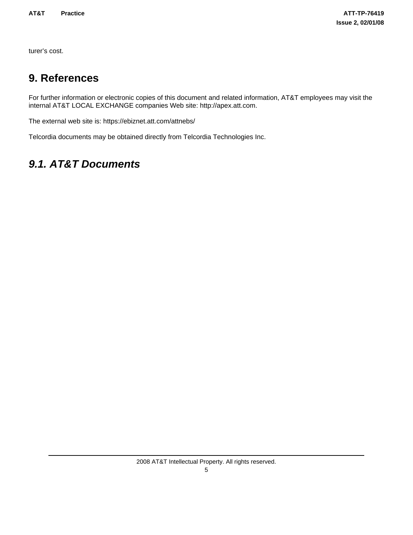turer's cost.

# <span id="page-8-0"></span>**9. References**

For further information or electronic copies of this document and related information, AT&T employees may visit the internal AT&T LOCAL EXCHANGE companies Web site: http://apex.att.com.

The external web site is: https://ebiznet.att.com/attnebs/

Telcordia documents may be obtained directly from Telcordia Technologies Inc.

### <span id="page-8-1"></span>**9.1. AT&T Documents**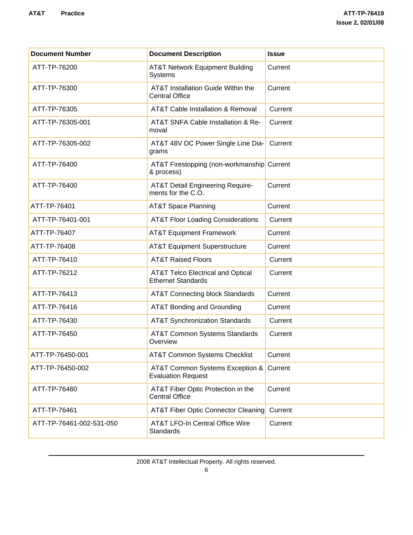| <b>Document Number</b>   | <b>Document Description</b>                                       | <b>Issue</b> |
|--------------------------|-------------------------------------------------------------------|--------------|
| ATT-TP-76200             | <b>AT&amp;T Network Equipment Building</b><br>Systems             | Current      |
| ATT-TP-76300             | AT&T Installation Guide Within the<br><b>Central Office</b>       | Current      |
| ATT-TP-76305             | <b>AT&amp;T Cable Installation &amp; Removal</b>                  | Current      |
| ATT-TP-76305-001         | AT&T SNFA Cable Installation & Re-<br>moval                       | Current      |
| ATT-TP-76305-002         | AT&T 48V DC Power Single Line Dia-<br>grams                       | Current      |
| ATT-TP-76400             | AT&T Firestopping (non-workmanship Current<br>& process)          |              |
| ATT-TP-76400             | <b>AT&amp;T Detail Engineering Require-</b><br>ments for the C.O. | Current      |
| ATT-TP-76401             | <b>AT&amp;T Space Planning</b>                                    | Current      |
| ATT-TP-76401-001         | <b>AT&amp;T Floor Loading Considerations</b>                      | Current      |
| ATT-TP-76407             | <b>AT&amp;T Equipment Framework</b>                               | Current      |
| ATT-TP-76408             | <b>AT&amp;T Equipment Superstructure</b>                          | Current      |
| ATT-TP-76410             | <b>AT&amp;T Raised Floors</b>                                     | Current      |
| ATT-TP-76212             | AT&T Telco Electrical and Optical<br><b>Ethernet Standards</b>    | Current      |
| ATT-TP-76413             | <b>AT&amp;T Connecting block Standards</b>                        | Current      |
| ATT-TP-76416             | AT&T Bonding and Grounding                                        | Current      |
| ATT-TP-76430             | <b>AT&amp;T Synchronization Standards</b>                         | Current      |
| ATT-TP-76450             | AT&T Common Systems Standards<br>Overview                         | Current      |
| ATT-TP-76450-001         | <b>AT&amp;T Common Systems Checklist</b>                          | Current      |
| ATT-TP-76450-002         | AT&T Common Systems Exception &<br><b>Evaluation Request</b>      | Current      |
| ATT-TP-76460             | AT&T Fiber Optic Protection in the<br><b>Central Office</b>       | Current      |
| ATT-TP-76461             | <b>AT&amp;T Fiber Optic Connector Cleaning</b>                    | Current      |
| ATT-TP-76461-002-531-050 | <b>AT&amp;T LFO-In Central Office Wire</b><br>Standards           | Current      |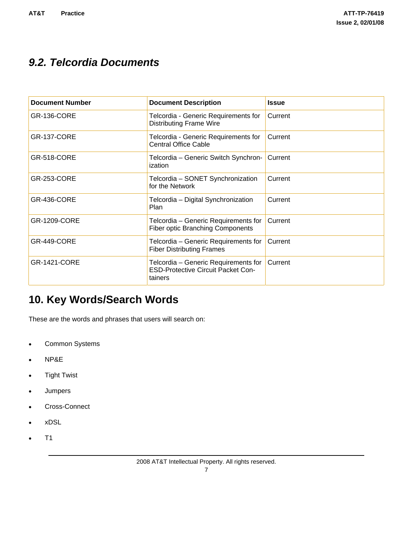### <span id="page-10-0"></span>**9.2. Telcordia Documents**

| <b>Document Number</b> | <b>Document Description</b>                                                                  | <b>Issue</b> |
|------------------------|----------------------------------------------------------------------------------------------|--------------|
| GR-136-CORE            | Telcordia - Generic Requirements for<br><b>Distributing Frame Wire</b>                       | Current      |
| <b>GR-137-CORE</b>     | Telcordia - Generic Requirements for<br><b>Central Office Cable</b>                          | Current      |
| <b>GR-518-CORE</b>     | Telcordia – Generic Switch Synchron-<br>ization                                              | Current      |
| <b>GR-253-CORE</b>     | Telcordia - SONET Synchronization<br>for the Network                                         | Current      |
| <b>GR-436-CORE</b>     | Telcordia - Digital Synchronization<br>Plan                                                  | Current      |
| GR-1209-CORE           | Telcordia - Generic Requirements for<br><b>Fiber optic Branching Components</b>              | Current      |
| <b>GR-449-CORE</b>     | Telcordia - Generic Requirements for<br><b>Fiber Distributing Frames</b>                     | Current      |
| <b>GR-1421-CORE</b>    | Telcordia - Generic Requirements for<br><b>ESD-Protective Circuit Packet Con-</b><br>tainers | Current      |

# <span id="page-10-1"></span>**10. Key Words/Search Words**

These are the words and phrases that users will search on:

- Common Systems
- NP&E
- Tight Twist
- Jumpers
- Cross-Connect
- xDSL
- T1